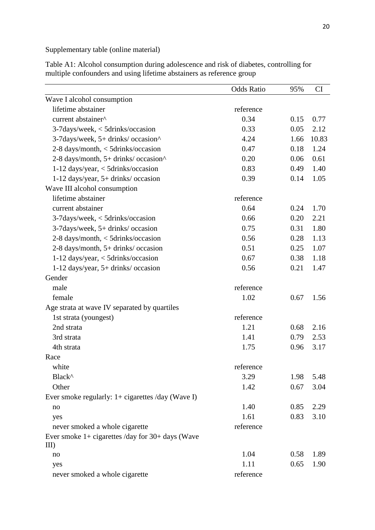Supplementary table (online material)

Odds Ratio 95% CI Wave I alcohol consumption lifetime abstainer reference current abstainer<sup>^</sup> 0.34 0.15 0.77 3-7days/week, < 5drinks/occasion 0.33 0.05 2.12 3-7days/week, 5+ drinks/ occasion^ 4.24 1.66 10.83 2-8 days/month, < 5drinks/occasion 0.47 0.18 1.24  $2-8$  days/month,  $5+$  drinks/ occasion^ 0.20 0.06 0.61 1-12 days/year, < 5drinks/occasion 0.83 0.49 1.40 1-12 days/year, 5+ drinks/ occasion 0.39 0.14 1.05 Wave III alcohol consumption lifetime abstainer reference current abstainer 0.64 0.24 1.70 3-7days/week, < 5drinks/occasion 0.66 0.20 2.21 3-7days/week, 5+ drinks/ occasion 0.75 0.31 1.80 2-8 days/month, < 5drinks/occasion 0.56 0.28 1.13 2-8 days/month, 5+ drinks/ occasion 0.51 0.25 1.07 1-12 days/year, < 5drinks/occasion 0.67 0.38 1.18 1-12 days/year, 5+ drinks/ occasion 0.56 0.21 1.47 Gender male reference female 1.02 0.67 1.56 Age strata at wave IV separated by quartiles 1st strata (youngest) reference 2nd strata 2.16 3rd strata 1.41 0.79 2.53 4th strata 1.75 0.96 3.17 Race white reference  $Black^{\wedge}$  3.29 1.98 5.48 Other 1.42 0.67 3.04 Ever smoke regularly: 1+ cigarettes /day (Wave I) no 1.40 0.85 2.29 yes 1.61 0.83 3.10 never smoked a whole cigarette reference Ever smoke  $1+$  cigarettes /day for  $30+$  days (Wave III) no 1.04 0.58 1.89 yes 1.11 0.65 1.90 never smoked a whole cigarette reference

Table A1: Alcohol consumption during adolescence and risk of diabetes, controlling for multiple confounders and using lifetime abstainers as reference group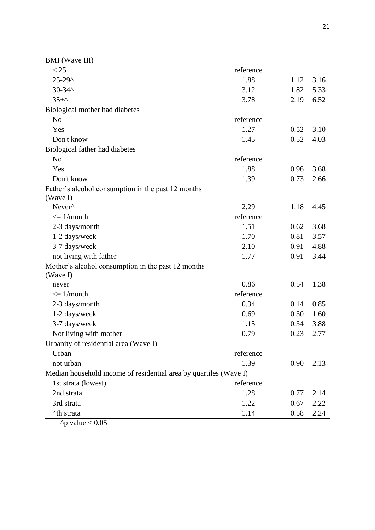| $<$ 25<br>reference<br>$25 - 29$ ^<br>1.88<br>1.12<br>3.16<br>$30 - 34$ ^<br>3.12<br>1.82<br>5.33 |  |  |  |  |
|---------------------------------------------------------------------------------------------------|--|--|--|--|
|                                                                                                   |  |  |  |  |
|                                                                                                   |  |  |  |  |
|                                                                                                   |  |  |  |  |
| $35+^{\circ}$<br>3.78<br>2.19<br>6.52                                                             |  |  |  |  |
| Biological mother had diabetes                                                                    |  |  |  |  |
| N <sub>o</sub><br>reference                                                                       |  |  |  |  |
| 1.27<br>Yes<br>0.52<br>3.10                                                                       |  |  |  |  |
| Don't know<br>0.52<br>4.03<br>1.45                                                                |  |  |  |  |
| Biological father had diabetes                                                                    |  |  |  |  |
| reference<br>N <sub>o</sub>                                                                       |  |  |  |  |
| Yes<br>1.88<br>3.68<br>0.96                                                                       |  |  |  |  |
| Don't know<br>0.73<br>1.39<br>2.66                                                                |  |  |  |  |
| Father's alcohol consumption in the past 12 months                                                |  |  |  |  |
| (Wave I)                                                                                          |  |  |  |  |
| Never <sup>^</sup><br>2.29<br>1.18<br>4.45                                                        |  |  |  |  |
| reference<br>$\leq$ 1/month                                                                       |  |  |  |  |
| 1.51<br>2-3 days/month<br>0.62<br>3.68                                                            |  |  |  |  |
| 1-2 days/week<br>1.70<br>0.81<br>3.57                                                             |  |  |  |  |
| 3-7 days/week<br>2.10<br>0.91<br>4.88                                                             |  |  |  |  |
| not living with father<br>1.77<br>0.91<br>3.44                                                    |  |  |  |  |
| Mother's alcohol consumption in the past 12 months                                                |  |  |  |  |
| (Wave I)                                                                                          |  |  |  |  |
| 0.86<br>1.38<br>0.54<br>never                                                                     |  |  |  |  |
| reference<br>$\epsilon = 1/m$ onth                                                                |  |  |  |  |
| 0.34<br>0.85<br>2-3 days/month<br>0.14                                                            |  |  |  |  |
| 1-2 days/week<br>0.69<br>0.30<br>1.60                                                             |  |  |  |  |
| 3-7 days/week<br>1.15<br>0.34<br>3.88                                                             |  |  |  |  |
| Not living with mother<br>0.79<br>0.23<br>2.77                                                    |  |  |  |  |
| Urbanity of residential area (Wave I)                                                             |  |  |  |  |
| Urban<br>reference                                                                                |  |  |  |  |
| 1.39<br>not urban<br>0.90<br>2.13                                                                 |  |  |  |  |
| Median household income of residential area by quartiles (Wave I)                                 |  |  |  |  |
| reference<br>1st strata (lowest)                                                                  |  |  |  |  |
| 1.28<br>0.77<br>2nd strata<br>2.14                                                                |  |  |  |  |
| 3rd strata<br>1.22<br>2.22<br>0.67                                                                |  |  |  |  |
| 4th strata<br>1.14<br>0.58<br>2.24                                                                |  |  |  |  |

 $\gamma$ <sub>p</sub> value < 0.05